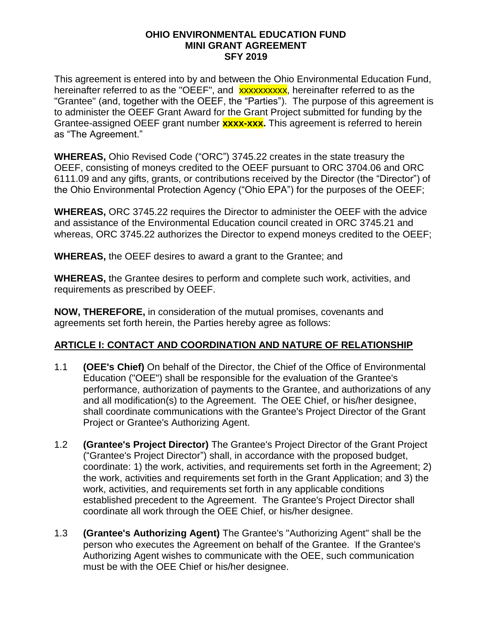#### **OHIO ENVIRONMENTAL EDUCATION FUND MINI GRANT AGREEMENT SFY 2019**

This agreement is entered into by and between the Ohio Environmental Education Fund, hereinafter referred to as the "OEEF", and **xxxxxxxxxx**, hereinafter referred to as the "Grantee" (and, together with the OEEF, the "Parties"). The purpose of this agreement is to administer the OEEF Grant Award for the Grant Project submitted for funding by the Grantee-assigned OEEF grant number **xxxx-xxx.** This agreement is referred to herein as "The Agreement."

**WHEREAS,** Ohio Revised Code ("ORC") 3745.22 creates in the state treasury the OEEF, consisting of moneys credited to the OEEF pursuant to ORC 3704.06 and ORC 6111.09 and any gifts, grants, or contributions received by the Director (the "Director") of the Ohio Environmental Protection Agency ("Ohio EPA") for the purposes of the OEEF;

**WHEREAS,** ORC 3745.22 requires the Director to administer the OEEF with the advice and assistance of the Environmental Education council created in ORC 3745.21 and whereas, ORC 3745.22 authorizes the Director to expend moneys credited to the OEEF;

**WHEREAS,** the OEEF desires to award a grant to the Grantee; and

**WHEREAS,** the Grantee desires to perform and complete such work, activities, and requirements as prescribed by OEEF.

**NOW, THEREFORE,** in consideration of the mutual promises, covenants and agreements set forth herein, the Parties hereby agree as follows:

#### **ARTICLE I: CONTACT AND COORDINATION AND NATURE OF RELATIONSHIP**

- 1.1 **(OEE's Chief)** On behalf of the Director, the Chief of the Office of Environmental Education ("OEE") shall be responsible for the evaluation of the Grantee's performance, authorization of payments to the Grantee, and authorizations of any and all modification(s) to the Agreement. The OEE Chief, or his/her designee, shall coordinate communications with the Grantee's Project Director of the Grant Project or Grantee's Authorizing Agent.
- 1.2 **(Grantee's Project Director)** The Grantee's Project Director of the Grant Project ("Grantee's Project Director") shall, in accordance with the proposed budget, coordinate: 1) the work, activities, and requirements set forth in the Agreement; 2) the work, activities and requirements set forth in the Grant Application; and 3) the work, activities, and requirements set forth in any applicable conditions established precedent to the Agreement. The Grantee's Project Director shall coordinate all work through the OEE Chief, or his/her designee.
- 1.3 **(Grantee's Authorizing Agent)** The Grantee's "Authorizing Agent" shall be the person who executes the Agreement on behalf of the Grantee. If the Grantee's Authorizing Agent wishes to communicate with the OEE, such communication must be with the OEE Chief or his/her designee.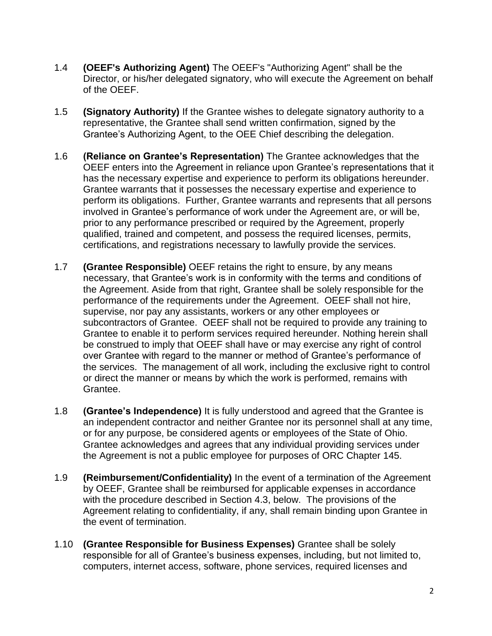- 1.4 **(OEEF's Authorizing Agent)** The OEEF's "Authorizing Agent" shall be the Director, or his/her delegated signatory, who will execute the Agreement on behalf of the OEEF.
- 1.5 **(Signatory Authority)** If the Grantee wishes to delegate signatory authority to a representative, the Grantee shall send written confirmation, signed by the Grantee's Authorizing Agent, to the OEE Chief describing the delegation.
- 1.6 **(Reliance on Grantee's Representation)** The Grantee acknowledges that the OEEF enters into the Agreement in reliance upon Grantee's representations that it has the necessary expertise and experience to perform its obligations hereunder. Grantee warrants that it possesses the necessary expertise and experience to perform its obligations. Further, Grantee warrants and represents that all persons involved in Grantee's performance of work under the Agreement are, or will be, prior to any performance prescribed or required by the Agreement, properly qualified, trained and competent, and possess the required licenses, permits, certifications, and registrations necessary to lawfully provide the services.
- 1.7 **(Grantee Responsible)** OEEF retains the right to ensure, by any means necessary, that Grantee's work is in conformity with the terms and conditions of the Agreement. Aside from that right, Grantee shall be solely responsible for the performance of the requirements under the Agreement. OEEF shall not hire, supervise, nor pay any assistants, workers or any other employees or subcontractors of Grantee. OEEF shall not be required to provide any training to Grantee to enable it to perform services required hereunder. Nothing herein shall be construed to imply that OEEF shall have or may exercise any right of control over Grantee with regard to the manner or method of Grantee's performance of the services. The management of all work, including the exclusive right to control or direct the manner or means by which the work is performed, remains with Grantee.
- 1.8 **(Grantee's Independence)** It is fully understood and agreed that the Grantee is an independent contractor and neither Grantee nor its personnel shall at any time, or for any purpose, be considered agents or employees of the State of Ohio. Grantee acknowledges and agrees that any individual providing services under the Agreement is not a public employee for purposes of ORC Chapter 145.
- 1.9 **(Reimbursement/Confidentiality)** In the event of a termination of the Agreement by OEEF, Grantee shall be reimbursed for applicable expenses in accordance with the procedure described in Section 4.3, below. The provisions of the Agreement relating to confidentiality, if any, shall remain binding upon Grantee in the event of termination.
- 1.10 **(Grantee Responsible for Business Expenses)** Grantee shall be solely responsible for all of Grantee's business expenses, including, but not limited to, computers, internet access, software, phone services, required licenses and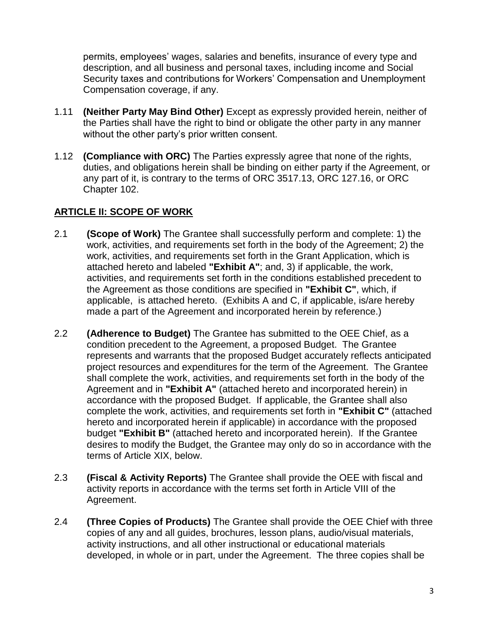permits, employees' wages, salaries and benefits, insurance of every type and description, and all business and personal taxes, including income and Social Security taxes and contributions for Workers' Compensation and Unemployment Compensation coverage, if any.

- 1.11 **(Neither Party May Bind Other)** Except as expressly provided herein, neither of the Parties shall have the right to bind or obligate the other party in any manner without the other party's prior written consent.
- 1.12 **(Compliance with ORC)** The Parties expressly agree that none of the rights, duties, and obligations herein shall be binding on either party if the Agreement, or any part of it, is contrary to the terms of ORC 3517.13, ORC 127.16, or ORC Chapter 102.

### **ARTICLE II: SCOPE OF WORK**

- 2.1 **(Scope of Work)** The Grantee shall successfully perform and complete: 1) the work, activities, and requirements set forth in the body of the Agreement; 2) the work, activities, and requirements set forth in the Grant Application, which is attached hereto and labeled **"Exhibit A"**; and, 3) if applicable, the work, activities, and requirements set forth in the conditions established precedent to the Agreement as those conditions are specified in **"Exhibit C"**, which, if applicable, is attached hereto. (Exhibits A and C, if applicable, is/are hereby made a part of the Agreement and incorporated herein by reference.)
- 2.2 **(Adherence to Budget)** The Grantee has submitted to the OEE Chief, as a condition precedent to the Agreement, a proposed Budget. The Grantee represents and warrants that the proposed Budget accurately reflects anticipated project resources and expenditures for the term of the Agreement. The Grantee shall complete the work, activities, and requirements set forth in the body of the Agreement and in **"Exhibit A"** (attached hereto and incorporated herein) in accordance with the proposed Budget. If applicable, the Grantee shall also complete the work, activities, and requirements set forth in **"Exhibit C"** (attached hereto and incorporated herein if applicable) in accordance with the proposed budget **"Exhibit B"** (attached hereto and incorporated herein). If the Grantee desires to modify the Budget, the Grantee may only do so in accordance with the terms of Article XIX, below.
- 2.3 **(Fiscal & Activity Reports)** The Grantee shall provide the OEE with fiscal and activity reports in accordance with the terms set forth in Article VIII of the Agreement.
- 2.4 **(Three Copies of Products)** The Grantee shall provide the OEE Chief with three copies of any and all guides, brochures, lesson plans, audio/visual materials, activity instructions, and all other instructional or educational materials developed, in whole or in part, under the Agreement. The three copies shall be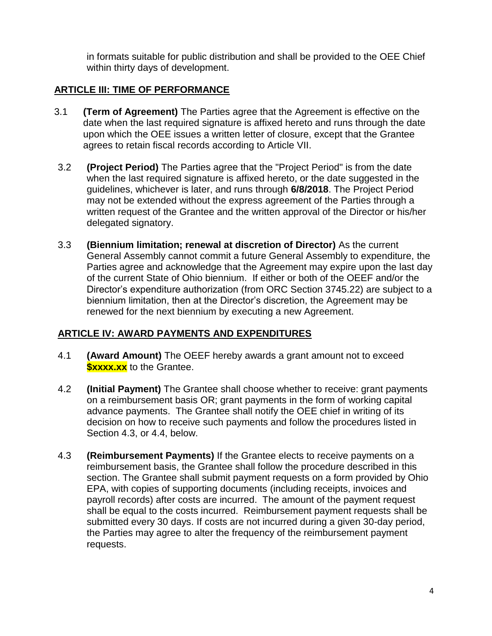in formats suitable for public distribution and shall be provided to the OEE Chief within thirty days of development.

### **ARTICLE III: TIME OF PERFORMANCE**

- 3.1 **(Term of Agreement)** The Parties agree that the Agreement is effective on the date when the last required signature is affixed hereto and runs through the date upon which the OEE issues a written letter of closure, except that the Grantee agrees to retain fiscal records according to Article VII.
- 3.2 **(Project Period)** The Parties agree that the "Project Period" is from the date when the last required signature is affixed hereto, or the date suggested in the guidelines, whichever is later, and runs through **6/8/2018**. The Project Period may not be extended without the express agreement of the Parties through a written request of the Grantee and the written approval of the Director or his/her delegated signatory.
- 3.3 **(Biennium limitation; renewal at discretion of Director)** As the current General Assembly cannot commit a future General Assembly to expenditure, the Parties agree and acknowledge that the Agreement may expire upon the last day of the current State of Ohio biennium. If either or both of the OEEF and/or the Director's expenditure authorization (from ORC Section 3745.22) are subject to a biennium limitation, then at the Director's discretion, the Agreement may be renewed for the next biennium by executing a new Agreement.

### **ARTICLE IV: AWARD PAYMENTS AND EXPENDITURES**

- 4.1 **(Award Amount)** The OEEF hereby awards a grant amount not to exceed *Sxxxx.xx* to the Grantee.
- 4.2 **(Initial Payment)** The Grantee shall choose whether to receive: grant payments on a reimbursement basis OR; grant payments in the form of working capital advance payments. The Grantee shall notify the OEE chief in writing of its decision on how to receive such payments and follow the procedures listed in Section 4.3, or 4.4, below.
- 4.3 **(Reimbursement Payments)** If the Grantee elects to receive payments on a reimbursement basis, the Grantee shall follow the procedure described in this section. The Grantee shall submit payment requests on a form provided by Ohio EPA, with copies of supporting documents (including receipts, invoices and payroll records) after costs are incurred. The amount of the payment request shall be equal to the costs incurred. Reimbursement payment requests shall be submitted every 30 days. If costs are not incurred during a given 30-day period, the Parties may agree to alter the frequency of the reimbursement payment requests.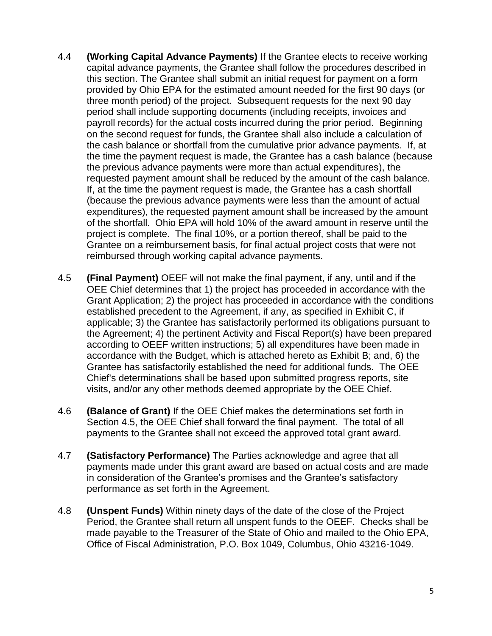- 4.4 **(Working Capital Advance Payments)** If the Grantee elects to receive working capital advance payments, the Grantee shall follow the procedures described in this section. The Grantee shall submit an initial request for payment on a form provided by Ohio EPA for the estimated amount needed for the first 90 days (or three month period) of the project. Subsequent requests for the next 90 day period shall include supporting documents (including receipts, invoices and payroll records) for the actual costs incurred during the prior period. Beginning on the second request for funds, the Grantee shall also include a calculation of the cash balance or shortfall from the cumulative prior advance payments. If, at the time the payment request is made, the Grantee has a cash balance (because the previous advance payments were more than actual expenditures), the requested payment amount shall be reduced by the amount of the cash balance. If, at the time the payment request is made, the Grantee has a cash shortfall (because the previous advance payments were less than the amount of actual expenditures), the requested payment amount shall be increased by the amount of the shortfall. Ohio EPA will hold 10% of the award amount in reserve until the project is complete. The final 10%, or a portion thereof, shall be paid to the Grantee on a reimbursement basis, for final actual project costs that were not reimbursed through working capital advance payments.
- 4.5 **(Final Payment)** OEEF will not make the final payment, if any, until and if the OEE Chief determines that 1) the project has proceeded in accordance with the Grant Application; 2) the project has proceeded in accordance with the conditions established precedent to the Agreement, if any, as specified in Exhibit C, if applicable; 3) the Grantee has satisfactorily performed its obligations pursuant to the Agreement; 4) the pertinent Activity and Fiscal Report(s) have been prepared according to OEEF written instructions; 5) all expenditures have been made in accordance with the Budget, which is attached hereto as Exhibit B; and, 6) the Grantee has satisfactorily established the need for additional funds. The OEE Chief's determinations shall be based upon submitted progress reports, site visits, and/or any other methods deemed appropriate by the OEE Chief.
- 4.6 **(Balance of Grant)** If the OEE Chief makes the determinations set forth in Section 4.5, the OEE Chief shall forward the final payment. The total of all payments to the Grantee shall not exceed the approved total grant award.
- 4.7 **(Satisfactory Performance)** The Parties acknowledge and agree that all payments made under this grant award are based on actual costs and are made in consideration of the Grantee's promises and the Grantee's satisfactory performance as set forth in the Agreement.
- 4.8 **(Unspent Funds)** Within ninety days of the date of the close of the Project Period, the Grantee shall return all unspent funds to the OEEF. Checks shall be made payable to the Treasurer of the State of Ohio and mailed to the Ohio EPA, Office of Fiscal Administration, P.O. Box 1049, Columbus, Ohio 43216-1049.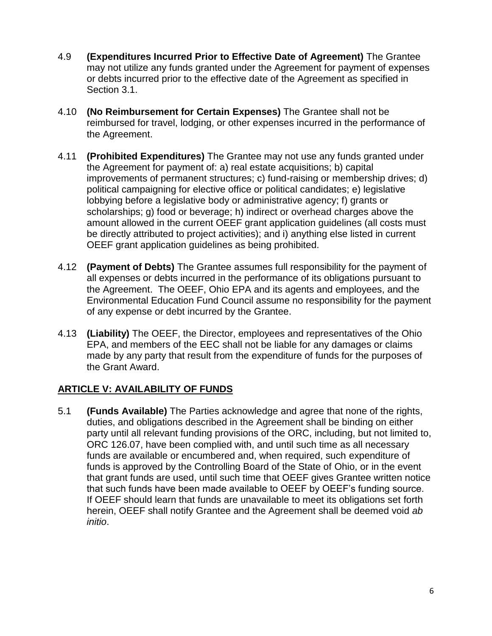- 4.9 **(Expenditures Incurred Prior to Effective Date of Agreement)** The Grantee may not utilize any funds granted under the Agreement for payment of expenses or debts incurred prior to the effective date of the Agreement as specified in Section 3.1.
- 4.10 **(No Reimbursement for Certain Expenses)** The Grantee shall not be reimbursed for travel, lodging, or other expenses incurred in the performance of the Agreement.
- 4.11 **(Prohibited Expenditures)** The Grantee may not use any funds granted under the Agreement for payment of: a) real estate acquisitions; b) capital improvements of permanent structures; c) fund-raising or membership drives; d) political campaigning for elective office or political candidates; e) legislative lobbying before a legislative body or administrative agency; f) grants or scholarships; g) food or beverage; h) indirect or overhead charges above the amount allowed in the current OEEF grant application guidelines (all costs must be directly attributed to project activities); and i) anything else listed in current OEEF grant application guidelines as being prohibited.
- 4.12 **(Payment of Debts)** The Grantee assumes full responsibility for the payment of all expenses or debts incurred in the performance of its obligations pursuant to the Agreement. The OEEF, Ohio EPA and its agents and employees, and the Environmental Education Fund Council assume no responsibility for the payment of any expense or debt incurred by the Grantee.
- 4.13 **(Liability)** The OEEF, the Director, employees and representatives of the Ohio EPA, and members of the EEC shall not be liable for any damages or claims made by any party that result from the expenditure of funds for the purposes of the Grant Award.

### **ARTICLE V: AVAILABILITY OF FUNDS**

5.1 **(Funds Available)** The Parties acknowledge and agree that none of the rights, duties, and obligations described in the Agreement shall be binding on either party until all relevant funding provisions of the ORC, including, but not limited to, ORC 126.07, have been complied with, and until such time as all necessary funds are available or encumbered and, when required, such expenditure of funds is approved by the Controlling Board of the State of Ohio, or in the event that grant funds are used, until such time that OEEF gives Grantee written notice that such funds have been made available to OEEF by OEEF's funding source. If OEEF should learn that funds are unavailable to meet its obligations set forth herein, OEEF shall notify Grantee and the Agreement shall be deemed void *ab initio*.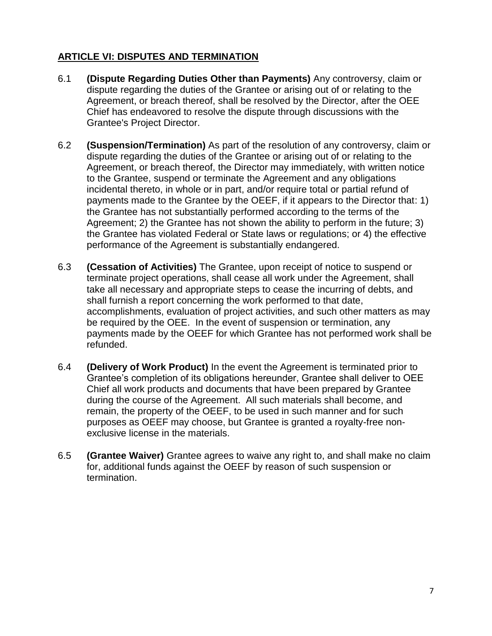# **ARTICLE VI: DISPUTES AND TERMINATION**

- 6.1 **(Dispute Regarding Duties Other than Payments)** Any controversy, claim or dispute regarding the duties of the Grantee or arising out of or relating to the Agreement, or breach thereof, shall be resolved by the Director, after the OEE Chief has endeavored to resolve the dispute through discussions with the Grantee's Project Director.
- 6.2 **(Suspension/Termination)** As part of the resolution of any controversy, claim or dispute regarding the duties of the Grantee or arising out of or relating to the Agreement, or breach thereof, the Director may immediately, with written notice to the Grantee, suspend or terminate the Agreement and any obligations incidental thereto, in whole or in part, and/or require total or partial refund of payments made to the Grantee by the OEEF, if it appears to the Director that: 1) the Grantee has not substantially performed according to the terms of the Agreement; 2) the Grantee has not shown the ability to perform in the future; 3) the Grantee has violated Federal or State laws or regulations; or 4) the effective performance of the Agreement is substantially endangered.
- 6.3 **(Cessation of Activities)** The Grantee, upon receipt of notice to suspend or terminate project operations, shall cease all work under the Agreement, shall take all necessary and appropriate steps to cease the incurring of debts, and shall furnish a report concerning the work performed to that date, accomplishments, evaluation of project activities, and such other matters as may be required by the OEE. In the event of suspension or termination, any payments made by the OEEF for which Grantee has not performed work shall be refunded.
- 6.4 **(Delivery of Work Product)** In the event the Agreement is terminated prior to Grantee's completion of its obligations hereunder, Grantee shall deliver to OEE Chief all work products and documents that have been prepared by Grantee during the course of the Agreement. All such materials shall become, and remain, the property of the OEEF, to be used in such manner and for such purposes as OEEF may choose, but Grantee is granted a royalty-free nonexclusive license in the materials.
- 6.5 **(Grantee Waiver)** Grantee agrees to waive any right to, and shall make no claim for, additional funds against the OEEF by reason of such suspension or termination.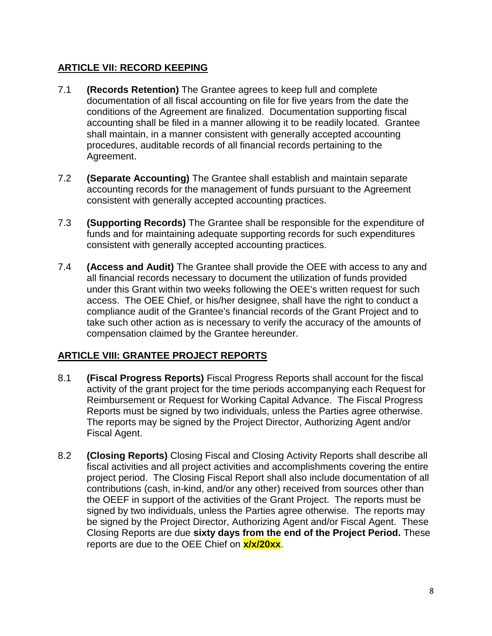#### **ARTICLE VII: RECORD KEEPING**

- 7.1 **(Records Retention)** The Grantee agrees to keep full and complete documentation of all fiscal accounting on file for five years from the date the conditions of the Agreement are finalized. Documentation supporting fiscal accounting shall be filed in a manner allowing it to be readily located. Grantee shall maintain, in a manner consistent with generally accepted accounting procedures, auditable records of all financial records pertaining to the Agreement.
- 7.2 **(Separate Accounting)** The Grantee shall establish and maintain separate accounting records for the management of funds pursuant to the Agreement consistent with generally accepted accounting practices.
- 7.3 **(Supporting Records)** The Grantee shall be responsible for the expenditure of funds and for maintaining adequate supporting records for such expenditures consistent with generally accepted accounting practices.
- 7.4 **(Access and Audit)** The Grantee shall provide the OEE with access to any and all financial records necessary to document the utilization of funds provided under this Grant within two weeks following the OEE's written request for such access. The OEE Chief, or his/her designee, shall have the right to conduct a compliance audit of the Grantee's financial records of the Grant Project and to take such other action as is necessary to verify the accuracy of the amounts of compensation claimed by the Grantee hereunder.

#### **ARTICLE VIII: GRANTEE PROJECT REPORTS**

- 8.1 **(Fiscal Progress Reports)** Fiscal Progress Reports shall account for the fiscal activity of the grant project for the time periods accompanying each Request for Reimbursement or Request for Working Capital Advance. The Fiscal Progress Reports must be signed by two individuals, unless the Parties agree otherwise. The reports may be signed by the Project Director, Authorizing Agent and/or Fiscal Agent.
- 8.2 **(Closing Reports)** Closing Fiscal and Closing Activity Reports shall describe all fiscal activities and all project activities and accomplishments covering the entire project period. The Closing Fiscal Report shall also include documentation of all contributions (cash, in-kind, and/or any other) received from sources other than the OEEF in support of the activities of the Grant Project. The reports must be signed by two individuals, unless the Parties agree otherwise. The reports may be signed by the Project Director, Authorizing Agent and/or Fiscal Agent. These Closing Reports are due **sixty days from the end of the Project Period.** These reports are due to the OEE Chief on **x/x/20xx**.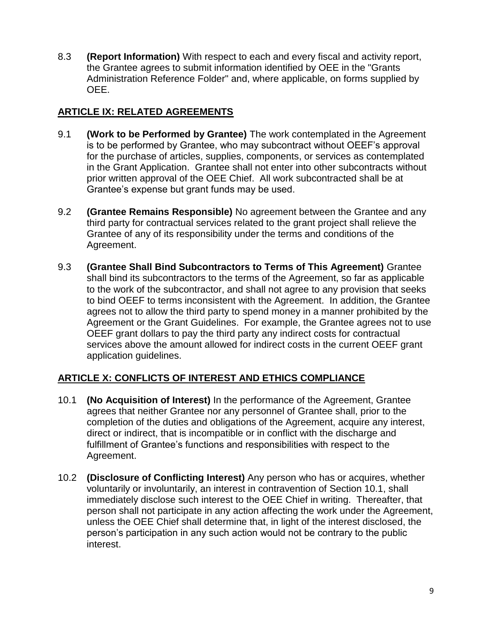8.3 **(Report Information)** With respect to each and every fiscal and activity report, the Grantee agrees to submit information identified by OEE in the "Grants Administration Reference Folder" and, where applicable, on forms supplied by OEE.

## **ARTICLE IX: RELATED AGREEMENTS**

- 9.1 **(Work to be Performed by Grantee)** The work contemplated in the Agreement is to be performed by Grantee, who may subcontract without OEEF's approval for the purchase of articles, supplies, components, or services as contemplated in the Grant Application. Grantee shall not enter into other subcontracts without prior written approval of the OEE Chief. All work subcontracted shall be at Grantee's expense but grant funds may be used.
- 9.2 **(Grantee Remains Responsible)** No agreement between the Grantee and any third party for contractual services related to the grant project shall relieve the Grantee of any of its responsibility under the terms and conditions of the Agreement.
- 9.3 **(Grantee Shall Bind Subcontractors to Terms of This Agreement)** Grantee shall bind its subcontractors to the terms of the Agreement, so far as applicable to the work of the subcontractor, and shall not agree to any provision that seeks to bind OEEF to terms inconsistent with the Agreement. In addition, the Grantee agrees not to allow the third party to spend money in a manner prohibited by the Agreement or the Grant Guidelines. For example, the Grantee agrees not to use OEEF grant dollars to pay the third party any indirect costs for contractual services above the amount allowed for indirect costs in the current OEEF grant application guidelines.

### **ARTICLE X: CONFLICTS OF INTEREST AND ETHICS COMPLIANCE**

- 10.1 **(No Acquisition of Interest)** In the performance of the Agreement, Grantee agrees that neither Grantee nor any personnel of Grantee shall, prior to the completion of the duties and obligations of the Agreement, acquire any interest, direct or indirect, that is incompatible or in conflict with the discharge and fulfillment of Grantee's functions and responsibilities with respect to the Agreement.
- 10.2 **(Disclosure of Conflicting Interest)** Any person who has or acquires, whether voluntarily or involuntarily, an interest in contravention of Section 10.1, shall immediately disclose such interest to the OEE Chief in writing. Thereafter, that person shall not participate in any action affecting the work under the Agreement, unless the OEE Chief shall determine that, in light of the interest disclosed, the person's participation in any such action would not be contrary to the public interest.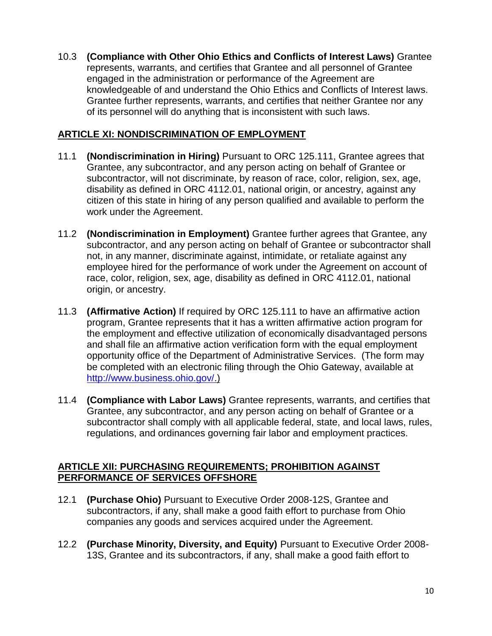10.3 **(Compliance with Other Ohio Ethics and Conflicts of Interest Laws)** Grantee represents, warrants, and certifies that Grantee and all personnel of Grantee engaged in the administration or performance of the Agreement are knowledgeable of and understand the Ohio Ethics and Conflicts of Interest laws. Grantee further represents, warrants, and certifies that neither Grantee nor any of its personnel will do anything that is inconsistent with such laws.

#### **ARTICLE XI: NONDISCRIMINATION OF EMPLOYMENT**

- 11.1 **(Nondiscrimination in Hiring)** Pursuant to ORC 125.111, Grantee agrees that Grantee, any subcontractor, and any person acting on behalf of Grantee or subcontractor, will not discriminate, by reason of race, color, religion, sex, age, disability as defined in ORC 4112.01, national origin, or ancestry, against any citizen of this state in hiring of any person qualified and available to perform the work under the Agreement.
- 11.2 **(Nondiscrimination in Employment)** Grantee further agrees that Grantee, any subcontractor, and any person acting on behalf of Grantee or subcontractor shall not, in any manner, discriminate against, intimidate, or retaliate against any employee hired for the performance of work under the Agreement on account of race, color, religion, sex, age, disability as defined in ORC 4112.01, national origin, or ancestry.
- 11.3 **(Affirmative Action)** If required by ORC 125.111 to have an affirmative action program, Grantee represents that it has a written affirmative action program for the employment and effective utilization of economically disadvantaged persons and shall file an affirmative action verification form with the equal employment opportunity office of the Department of Administrative Services. (The form may be completed with an electronic filing through the Ohio Gateway, available at [http://www.business.ohio.gov/.](http://www.business.ohio.gov/))
- 11.4 **(Compliance with Labor Laws)** Grantee represents, warrants, and certifies that Grantee, any subcontractor, and any person acting on behalf of Grantee or a subcontractor shall comply with all applicable federal, state, and local laws, rules, regulations, and ordinances governing fair labor and employment practices.

#### **ARTICLE XII: PURCHASING REQUIREMENTS; PROHIBITION AGAINST PERFORMANCE OF SERVICES OFFSHORE**

- 12.1 **(Purchase Ohio)** Pursuant to Executive Order 2008-12S, Grantee and subcontractors, if any, shall make a good faith effort to purchase from Ohio companies any goods and services acquired under the Agreement.
- 12.2 **(Purchase Minority, Diversity, and Equity)** Pursuant to Executive Order 2008- 13S, Grantee and its subcontractors, if any, shall make a good faith effort to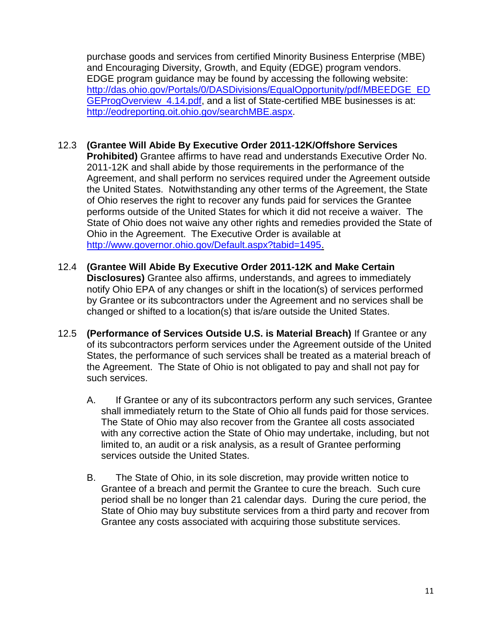purchase goods and services from certified Minority Business Enterprise (MBE) and Encouraging Diversity, Growth, and Equity (EDGE) program vendors. EDGE program guidance may be found by accessing the following website: [http://das.ohio.gov/Portals/0/DASDivisions/EqualOpportunity/pdf/MBEEDGE\\_ED](http://das.ohio.gov/Portals/0/DASDivisions/EqualOpportunity/pdf/MBEEDGE_EDGEProgOverview_4.14.pdf) GEProgOverview 4.14.pdf, and a list of State-certified MBE businesses is at: [http://eodreporting.oit.ohio.gov/searchMBE.aspx.](http://eodreporting.oit.ohio.gov/searchMBE.aspx)

- 12.3 **(Grantee Will Abide By Executive Order 2011-12K/Offshore Services Prohibited)** Grantee affirms to have read and understands Executive Order No. 2011-12K and shall abide by those requirements in the performance of the Agreement, and shall perform no services required under the Agreement outside the United States. Notwithstanding any other terms of the Agreement, the State of Ohio reserves the right to recover any funds paid for services the Grantee performs outside of the United States for which it did not receive a waiver. The State of Ohio does not waive any other rights and remedies provided the State of Ohio in the Agreement. The Executive Order is available at [http://www.governor.ohio.gov/Default.aspx?tabid=1495.](http://www.governor.ohio.gov/Default.aspx?tabid=1495)
- 12.4 **(Grantee Will Abide By Executive Order 2011-12K and Make Certain Disclosures)** Grantee also affirms, understands, and agrees to immediately notify Ohio EPA of any changes or shift in the location(s) of services performed by Grantee or its subcontractors under the Agreement and no services shall be changed or shifted to a location(s) that is/are outside the United States.
- 12.5 **(Performance of Services Outside U.S. is Material Breach)** If Grantee or any of its subcontractors perform services under the Agreement outside of the United States, the performance of such services shall be treated as a material breach of the Agreement. The State of Ohio is not obligated to pay and shall not pay for such services.
	- A. If Grantee or any of its subcontractors perform any such services, Grantee shall immediately return to the State of Ohio all funds paid for those services. The State of Ohio may also recover from the Grantee all costs associated with any corrective action the State of Ohio may undertake, including, but not limited to, an audit or a risk analysis, as a result of Grantee performing services outside the United States.
	- B. The State of Ohio, in its sole discretion, may provide written notice to Grantee of a breach and permit the Grantee to cure the breach. Such cure period shall be no longer than 21 calendar days. During the cure period, the State of Ohio may buy substitute services from a third party and recover from Grantee any costs associated with acquiring those substitute services.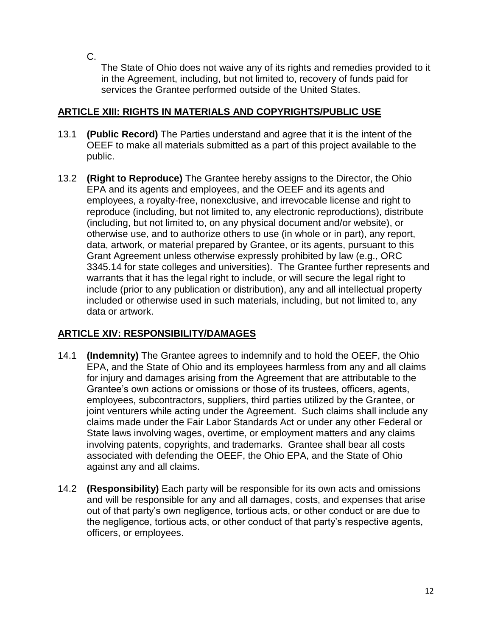C.

The State of Ohio does not waive any of its rights and remedies provided to it in the Agreement, including, but not limited to, recovery of funds paid for services the Grantee performed outside of the United States.

### **ARTICLE XIII: RIGHTS IN MATERIALS AND COPYRIGHTS/PUBLIC USE**

- 13.1 **(Public Record)** The Parties understand and agree that it is the intent of the OEEF to make all materials submitted as a part of this project available to the public.
- 13.2 **(Right to Reproduce)** The Grantee hereby assigns to the Director, the Ohio EPA and its agents and employees, and the OEEF and its agents and employees, a royalty-free, nonexclusive, and irrevocable license and right to reproduce (including, but not limited to, any electronic reproductions), distribute (including, but not limited to, on any physical document and/or website), or otherwise use, and to authorize others to use (in whole or in part), any report, data, artwork, or material prepared by Grantee, or its agents, pursuant to this Grant Agreement unless otherwise expressly prohibited by law (e.g., ORC 3345.14 for state colleges and universities). The Grantee further represents and warrants that it has the legal right to include, or will secure the legal right to include (prior to any publication or distribution), any and all intellectual property included or otherwise used in such materials, including, but not limited to, any data or artwork.

### **ARTICLE XIV: RESPONSIBILITY/DAMAGES**

- 14.1 **(Indemnity)** The Grantee agrees to indemnify and to hold the OEEF, the Ohio EPA, and the State of Ohio and its employees harmless from any and all claims for injury and damages arising from the Agreement that are attributable to the Grantee's own actions or omissions or those of its trustees, officers, agents, employees, subcontractors, suppliers, third parties utilized by the Grantee, or joint venturers while acting under the Agreement. Such claims shall include any claims made under the Fair Labor Standards Act or under any other Federal or State laws involving wages, overtime, or employment matters and any claims involving patents, copyrights, and trademarks. Grantee shall bear all costs associated with defending the OEEF, the Ohio EPA, and the State of Ohio against any and all claims.
- 14.2 **(Responsibility)** Each party will be responsible for its own acts and omissions and will be responsible for any and all damages, costs, and expenses that arise out of that party's own negligence, tortious acts, or other conduct or are due to the negligence, tortious acts, or other conduct of that party's respective agents, officers, or employees.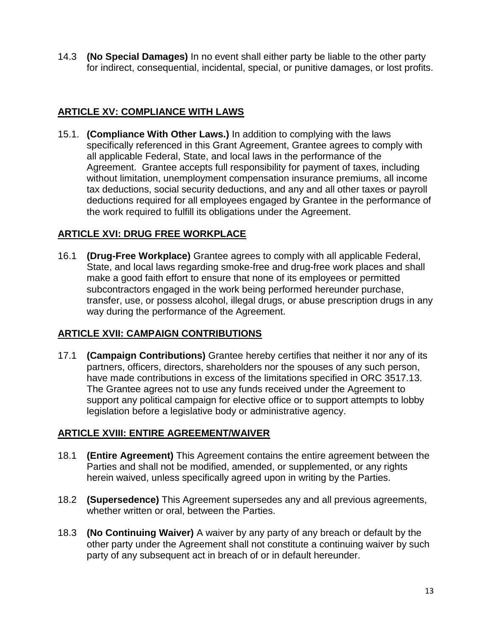14.3 **(No Special Damages)** In no event shall either party be liable to the other party for indirect, consequential, incidental, special, or punitive damages, or lost profits.

### **ARTICLE XV: COMPLIANCE WITH LAWS**

15.1. **(Compliance With Other Laws.)** In addition to complying with the laws specifically referenced in this Grant Agreement, Grantee agrees to comply with all applicable Federal, State, and local laws in the performance of the Agreement. Grantee accepts full responsibility for payment of taxes, including without limitation, unemployment compensation insurance premiums, all income tax deductions, social security deductions, and any and all other taxes or payroll deductions required for all employees engaged by Grantee in the performance of the work required to fulfill its obligations under the Agreement.

### **ARTICLE XVI: DRUG FREE WORKPLACE**

16.1 **(Drug-Free Workplace)** Grantee agrees to comply with all applicable Federal, State, and local laws regarding smoke-free and drug-free work places and shall make a good faith effort to ensure that none of its employees or permitted subcontractors engaged in the work being performed hereunder purchase, transfer, use, or possess alcohol, illegal drugs, or abuse prescription drugs in any way during the performance of the Agreement.

### **ARTICLE XVII: CAMPAIGN CONTRIBUTIONS**

17.1 **(Campaign Contributions)** Grantee hereby certifies that neither it nor any of its partners, officers, directors, shareholders nor the spouses of any such person, have made contributions in excess of the limitations specified in ORC 3517.13. The Grantee agrees not to use any funds received under the Agreement to support any political campaign for elective office or to support attempts to lobby legislation before a legislative body or administrative agency.

### **ARTICLE XVIII: ENTIRE AGREEMENT/WAIVER**

- 18.1 **(Entire Agreement)** This Agreement contains the entire agreement between the Parties and shall not be modified, amended, or supplemented, or any rights herein waived, unless specifically agreed upon in writing by the Parties.
- 18.2 **(Supersedence)** This Agreement supersedes any and all previous agreements, whether written or oral, between the Parties.
- 18.3 **(No Continuing Waiver)** A waiver by any party of any breach or default by the other party under the Agreement shall not constitute a continuing waiver by such party of any subsequent act in breach of or in default hereunder.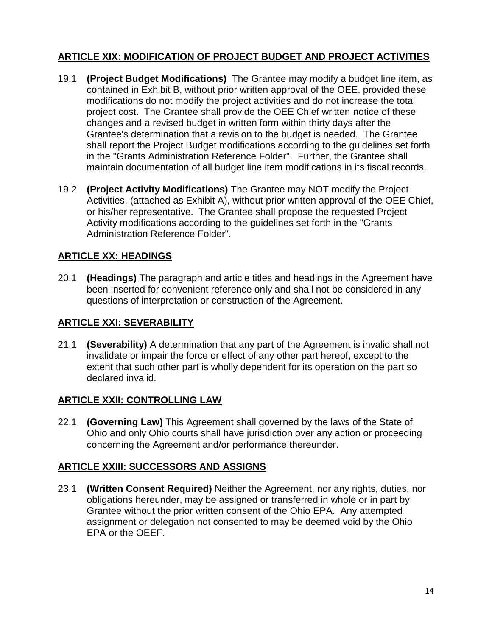# **ARTICLE XIX: MODIFICATION OF PROJECT BUDGET AND PROJECT ACTIVITIES**

- 19.1 **(Project Budget Modifications)** The Grantee may modify a budget line item, as contained in Exhibit B, without prior written approval of the OEE, provided these modifications do not modify the project activities and do not increase the total project cost. The Grantee shall provide the OEE Chief written notice of these changes and a revised budget in written form within thirty days after the Grantee's determination that a revision to the budget is needed. The Grantee shall report the Project Budget modifications according to the guidelines set forth in the "Grants Administration Reference Folder". Further, the Grantee shall maintain documentation of all budget line item modifications in its fiscal records.
- 19.2 **(Project Activity Modifications)** The Grantee may NOT modify the Project Activities, (attached as Exhibit A), without prior written approval of the OEE Chief, or his/her representative. The Grantee shall propose the requested Project Activity modifications according to the guidelines set forth in the "Grants Administration Reference Folder".

#### **ARTICLE XX: HEADINGS**

20.1 **(Headings)** The paragraph and article titles and headings in the Agreement have been inserted for convenient reference only and shall not be considered in any questions of interpretation or construction of the Agreement.

#### **ARTICLE XXI: SEVERABILITY**

21.1 **(Severability)** A determination that any part of the Agreement is invalid shall not invalidate or impair the force or effect of any other part hereof, except to the extent that such other part is wholly dependent for its operation on the part so declared invalid.

#### **ARTICLE XXII: CONTROLLING LAW**

22.1 **(Governing Law)** This Agreement shall governed by the laws of the State of Ohio and only Ohio courts shall have jurisdiction over any action or proceeding concerning the Agreement and/or performance thereunder.

#### **ARTICLE XXIII: SUCCESSORS AND ASSIGNS**

23.1 **(Written Consent Required)** Neither the Agreement, nor any rights, duties, nor obligations hereunder, may be assigned or transferred in whole or in part by Grantee without the prior written consent of the Ohio EPA. Any attempted assignment or delegation not consented to may be deemed void by the Ohio EPA or the OEEF.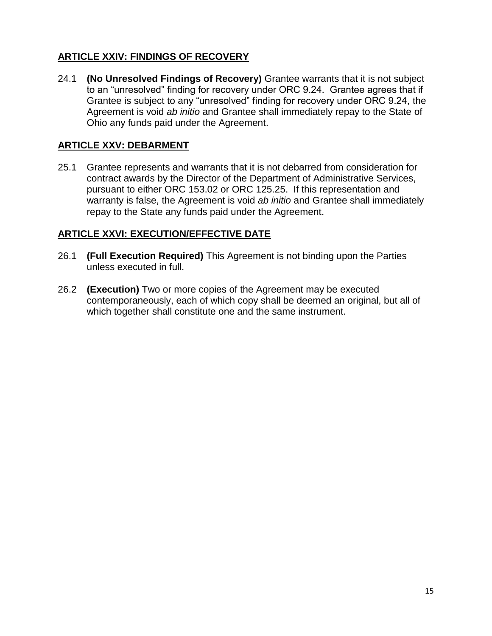# **ARTICLE XXIV: FINDINGS OF RECOVERY**

24.1 **(No Unresolved Findings of Recovery)** Grantee warrants that it is not subject to an "unresolved" finding for recovery under ORC 9.24. Grantee agrees that if Grantee is subject to any "unresolved" finding for recovery under ORC 9.24, the Agreement is void *ab initio* and Grantee shall immediately repay to the State of Ohio any funds paid under the Agreement.

#### **ARTICLE XXV: DEBARMENT**

25.1 Grantee represents and warrants that it is not debarred from consideration for contract awards by the Director of the Department of Administrative Services, pursuant to either ORC 153.02 or ORC 125.25. If this representation and warranty is false, the Agreement is void *ab initio* and Grantee shall immediately repay to the State any funds paid under the Agreement.

#### **ARTICLE XXVI: EXECUTION/EFFECTIVE DATE**

- 26.1 **(Full Execution Required)** This Agreement is not binding upon the Parties unless executed in full.
- 26.2 **(Execution)** Two or more copies of the Agreement may be executed contemporaneously, each of which copy shall be deemed an original, but all of which together shall constitute one and the same instrument.